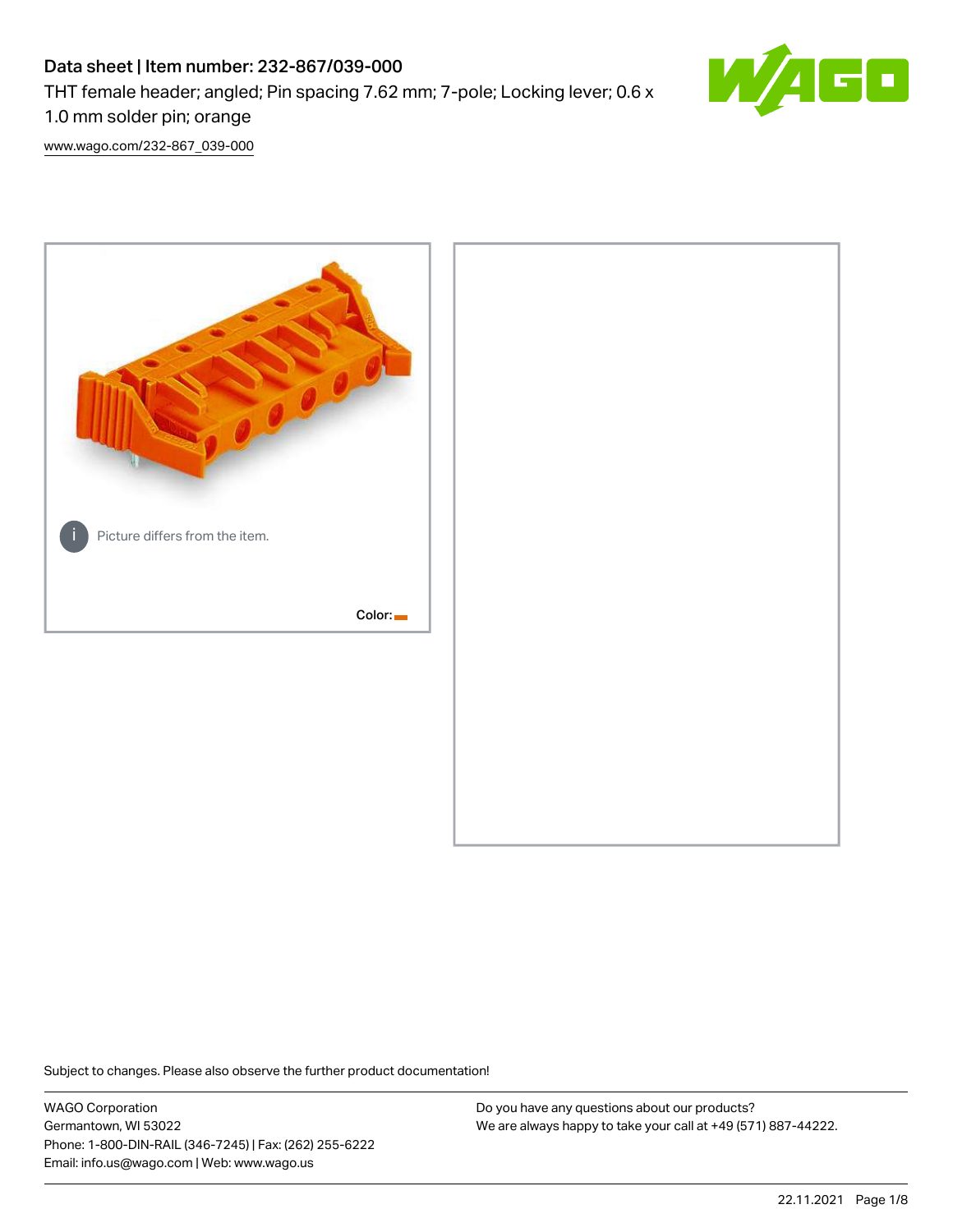# Data sheet | Item number: 232-867/039-000 THT female header; angled; Pin spacing 7.62 mm; 7-pole; Locking lever; 0.6 x 1.0 mm solder pin; orange



[www.wago.com/232-867\\_039-000](http://www.wago.com/232-867_039-000)



Subject to changes. Please also observe the further product documentation!

WAGO Corporation Germantown, WI 53022 Phone: 1-800-DIN-RAIL (346-7245) | Fax: (262) 255-6222 Email: info.us@wago.com | Web: www.wago.us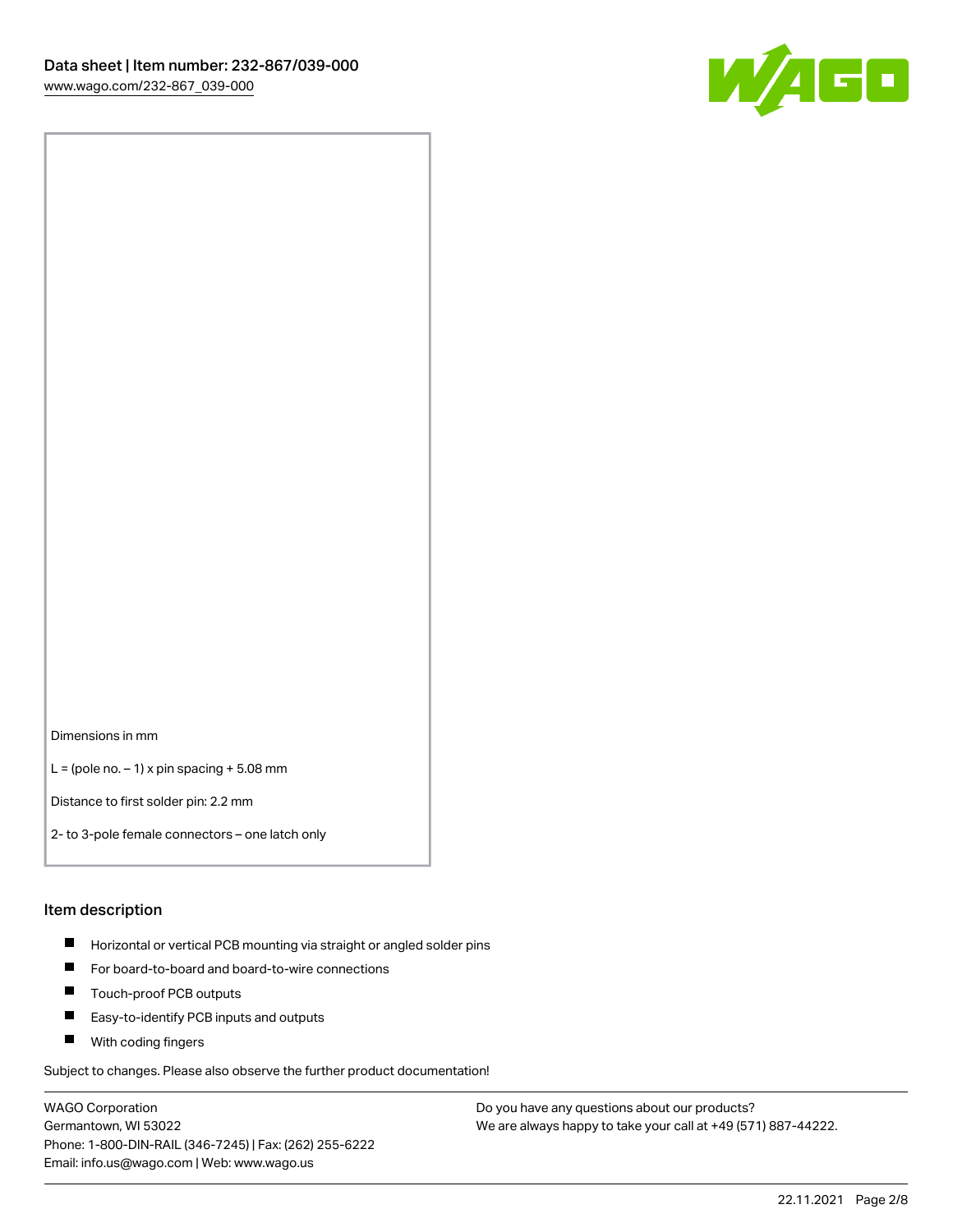

Dimensions in mm

 $L =$  (pole no.  $-1$ ) x pin spacing  $+5.08$  mm

Distance to first solder pin: 2.2 mm

2- to 3-pole female connectors – one latch only

#### Item description

- **Horizontal or vertical PCB mounting via straight or angled solder pins**
- For board-to-board and board-to-wire connections
- $\blacksquare$ Touch-proof PCB outputs
- $\blacksquare$ Easy-to-identify PCB inputs and outputs
- **Now With coding fingers**

Subject to changes. Please also observe the further product documentation!

WAGO Corporation Germantown, WI 53022 Phone: 1-800-DIN-RAIL (346-7245) | Fax: (262) 255-6222 Email: info.us@wago.com | Web: www.wago.us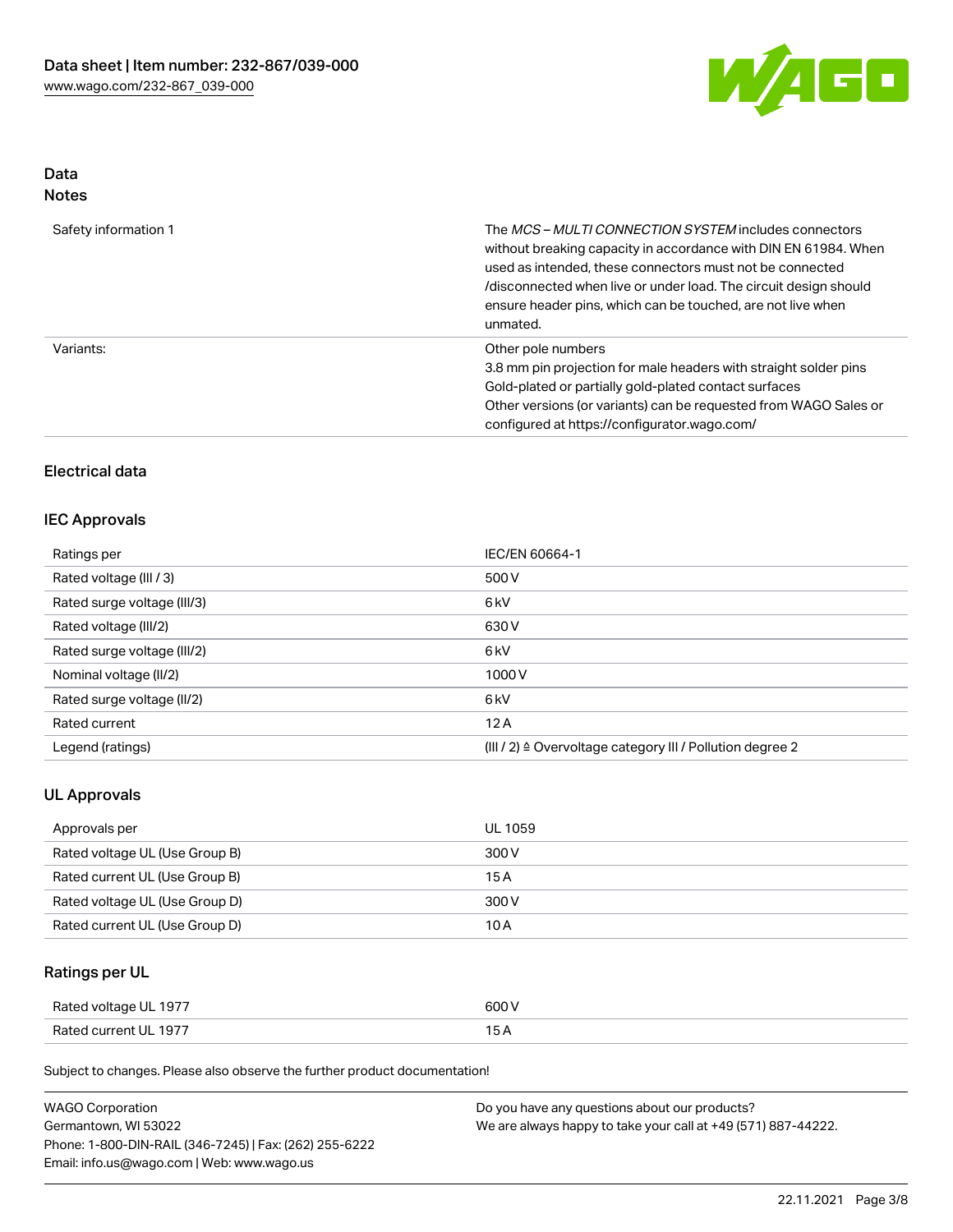

# Data

| w<br>×<br>٠<br>۰,<br>۹ |
|------------------------|
|                        |

| Safety information 1 | The <i>MCS – MULTI CONNECTION SYSTEM</i> includes connectors<br>without breaking capacity in accordance with DIN EN 61984. When<br>used as intended, these connectors must not be connected<br>/disconnected when live or under load. The circuit design should<br>ensure header pins, which can be touched, are not live when<br>unmated. |
|----------------------|--------------------------------------------------------------------------------------------------------------------------------------------------------------------------------------------------------------------------------------------------------------------------------------------------------------------------------------------|
| Variants:            | Other pole numbers<br>3.8 mm pin projection for male headers with straight solder pins<br>Gold-plated or partially gold-plated contact surfaces<br>Other versions (or variants) can be requested from WAGO Sales or<br>configured at https://configurator.wago.com/                                                                        |

## Electrical data

## IEC Approvals

| Ratings per                 | IEC/EN 60664-1                                                       |
|-----------------------------|----------------------------------------------------------------------|
| Rated voltage (III / 3)     | 500 V                                                                |
| Rated surge voltage (III/3) | 6 <sub>k</sub> V                                                     |
| Rated voltage (III/2)       | 630 V                                                                |
| Rated surge voltage (III/2) | 6 <sub>k</sub> V                                                     |
| Nominal voltage (II/2)      | 1000V                                                                |
| Rated surge voltage (II/2)  | 6 <sub>k</sub> V                                                     |
| Rated current               | 12A                                                                  |
| Legend (ratings)            | (III / 2) $\triangleq$ Overvoltage category III / Pollution degree 2 |

## UL Approvals

| Approvals per                  | UL 1059 |
|--------------------------------|---------|
| Rated voltage UL (Use Group B) | 300 V   |
| Rated current UL (Use Group B) | 15 A    |
| Rated voltage UL (Use Group D) | 300 V   |
| Rated current UL (Use Group D) | 10 A    |

# Ratings per UL

| Rated voltage UL 1977 | 600 V |
|-----------------------|-------|
| Rated current UL 1977 |       |

Subject to changes. Please also observe the further product documentation!

| <b>WAGO Corporation</b>                                | Do you have any questions about our products?                 |
|--------------------------------------------------------|---------------------------------------------------------------|
| Germantown, WI 53022                                   | We are always happy to take your call at +49 (571) 887-44222. |
| Phone: 1-800-DIN-RAIL (346-7245)   Fax: (262) 255-6222 |                                                               |
| Email: info.us@wago.com   Web: www.wago.us             |                                                               |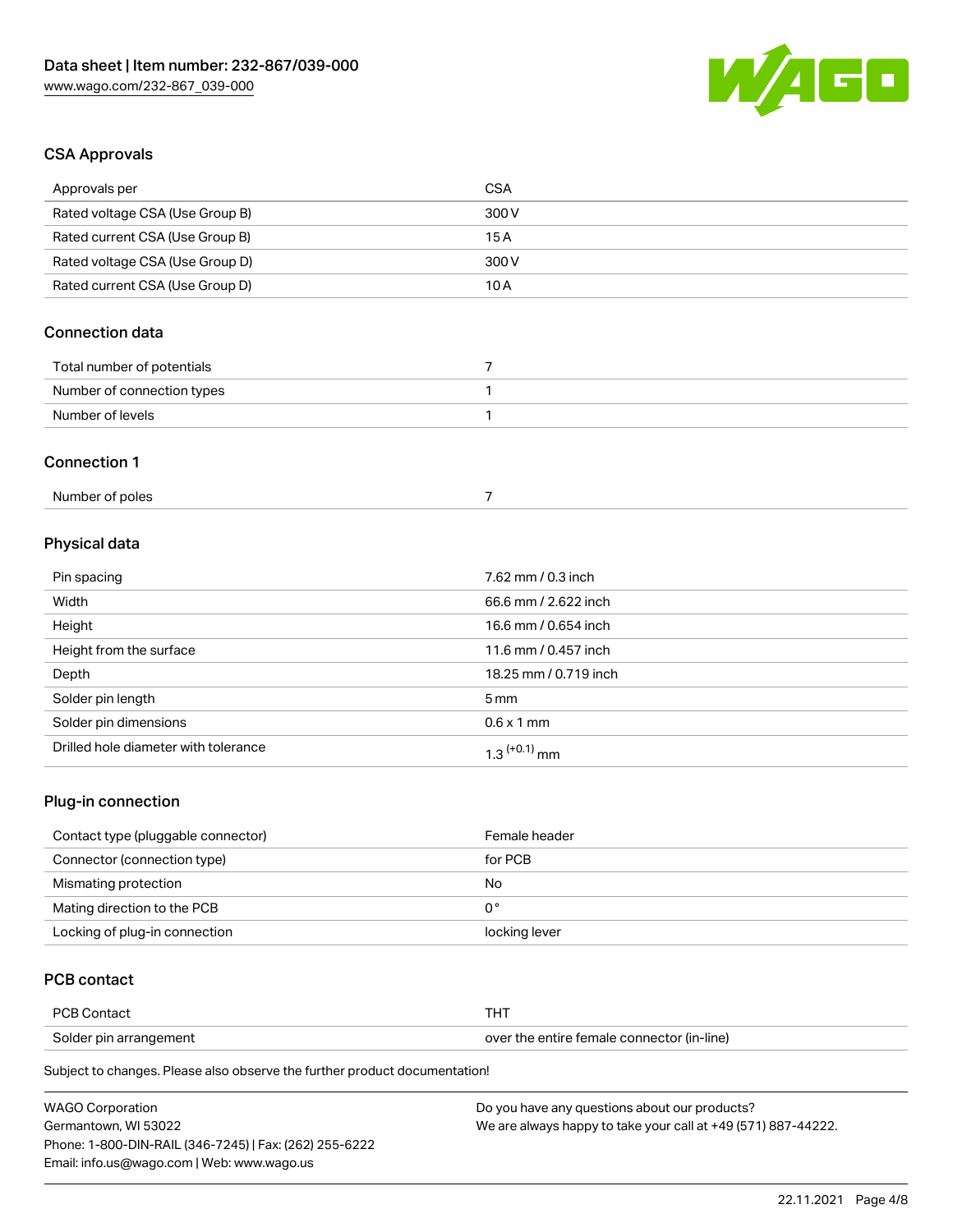

# CSA Approvals

| Approvals per                   | <b>CSA</b>           |
|---------------------------------|----------------------|
| Rated voltage CSA (Use Group B) | 300 V                |
| Rated current CSA (Use Group B) | 15A                  |
| Rated voltage CSA (Use Group D) | 300 V                |
| Rated current CSA (Use Group D) | 10A                  |
| Connection data                 |                      |
| Total number of potentials      | $\overline{7}$       |
| Number of connection types      | 1                    |
| Number of levels                | $\mathbf{1}$         |
| <b>Connection 1</b>             |                      |
| Number of poles                 | $\overline{7}$       |
| Physical data                   |                      |
| Pin spacing                     | 7.62 mm / 0.3 inch   |
| Width                           | 66.6 mm / 2.622 inch |
|                                 |                      |

| Height                               | 16.6 mm / 0.654 inch       |
|--------------------------------------|----------------------------|
| Height from the surface              | 11.6 mm / 0.457 inch       |
| Depth                                | 18.25 mm / 0.719 inch      |
| Solder pin length                    | $5 \,\mathrm{mm}$          |
| Solder pin dimensions                | $0.6 \times 1$ mm          |
| Drilled hole diameter with tolerance | $1.3$ <sup>(+0.1)</sup> mm |

# Plug-in connection

| Contact type (pluggable connector) | Female header |
|------------------------------------|---------------|
| Connector (connection type)        | for PCB       |
| Mismating protection               | No            |
| Mating direction to the PCB        | 0°            |
| Locking of plug-in connection      | locking lever |

## PCB contact

| <b>PCB Contact</b>     |                                            |
|------------------------|--------------------------------------------|
| Solder pin arrangement | over the entire female connector (in-line) |

Subject to changes. Please also observe the further product documentation!

| <b>WAGO Corporation</b>                                | Do you have any questions about our products?                 |
|--------------------------------------------------------|---------------------------------------------------------------|
| Germantown, WI 53022                                   | We are always happy to take your call at +49 (571) 887-44222. |
| Phone: 1-800-DIN-RAIL (346-7245)   Fax: (262) 255-6222 |                                                               |
| Email: info.us@wago.com   Web: www.wago.us             |                                                               |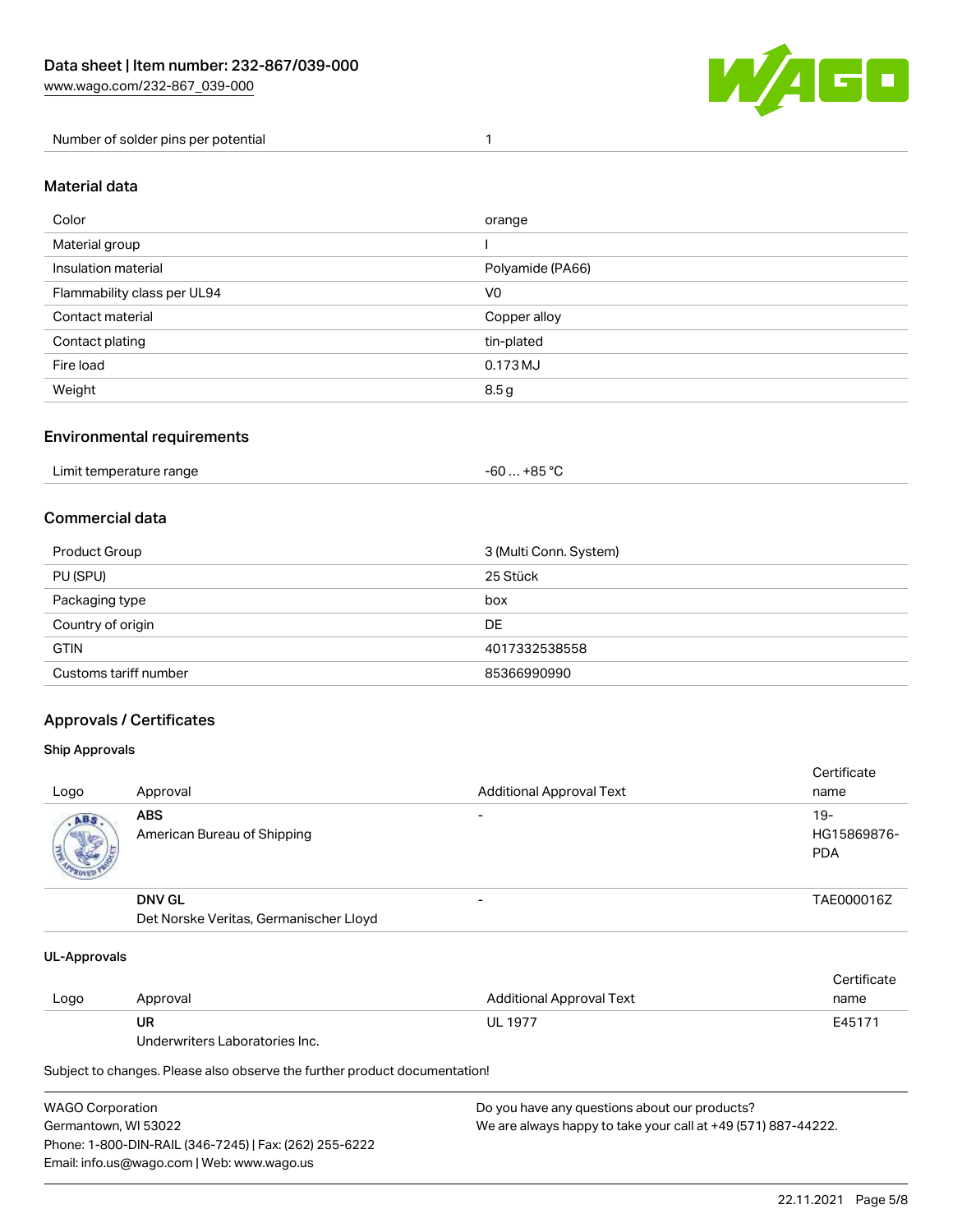

Number of solder pins per potential 1

### Material data

| Color                       | orange           |
|-----------------------------|------------------|
| Material group              |                  |
| Insulation material         | Polyamide (PA66) |
| Flammability class per UL94 | V <sub>0</sub>   |
| Contact material            | Copper alloy     |
| Contact plating             | tin-plated       |
| Fire load                   | 0.173 MJ         |
| Weight                      | 8.5g             |

### Environmental requirements

| Limit temperature range<br>. | . +85 °C<br>-60 |  |
|------------------------------|-----------------|--|
|------------------------------|-----------------|--|

## Commercial data

| Product Group         | 3 (Multi Conn. System) |
|-----------------------|------------------------|
| PU (SPU)              | 25 Stück               |
| Packaging type        | box                    |
| Country of origin     | DE                     |
| <b>GTIN</b>           | 4017332538558          |
| Customs tariff number | 85366990990            |

## Approvals / Certificates

#### Ship Approvals

| Logo                | Approval                                                | <b>Additional Approval Text</b> | Certificate<br>name              |
|---------------------|---------------------------------------------------------|---------------------------------|----------------------------------|
| ABS<br><b>SALES</b> | <b>ABS</b><br>American Bureau of Shipping               | $\overline{\phantom{0}}$        | 19-<br>HG15869876-<br><b>PDA</b> |
|                     | <b>DNV GL</b><br>Det Norske Veritas, Germanischer Lloyd | $\overline{\phantom{0}}$        | TAE000016Z                       |

#### UL-Approvals

| Logo | Approval                       | Additional Approval Text | Certificate<br>name |
|------|--------------------------------|--------------------------|---------------------|
|      | UR                             | <b>UL 1977</b>           | E45171              |
|      | Underwriters Laboratories Inc. |                          |                     |

Subject to changes. Please also observe the further product documentation!

| <b>WAGO Corporation</b>                                | Do you have any questions about our products?                 |
|--------------------------------------------------------|---------------------------------------------------------------|
| Germantown, WI 53022                                   | We are always happy to take your call at +49 (571) 887-44222. |
| Phone: 1-800-DIN-RAIL (346-7245)   Fax: (262) 255-6222 |                                                               |
| Email: info.us@wago.com   Web: www.wago.us             |                                                               |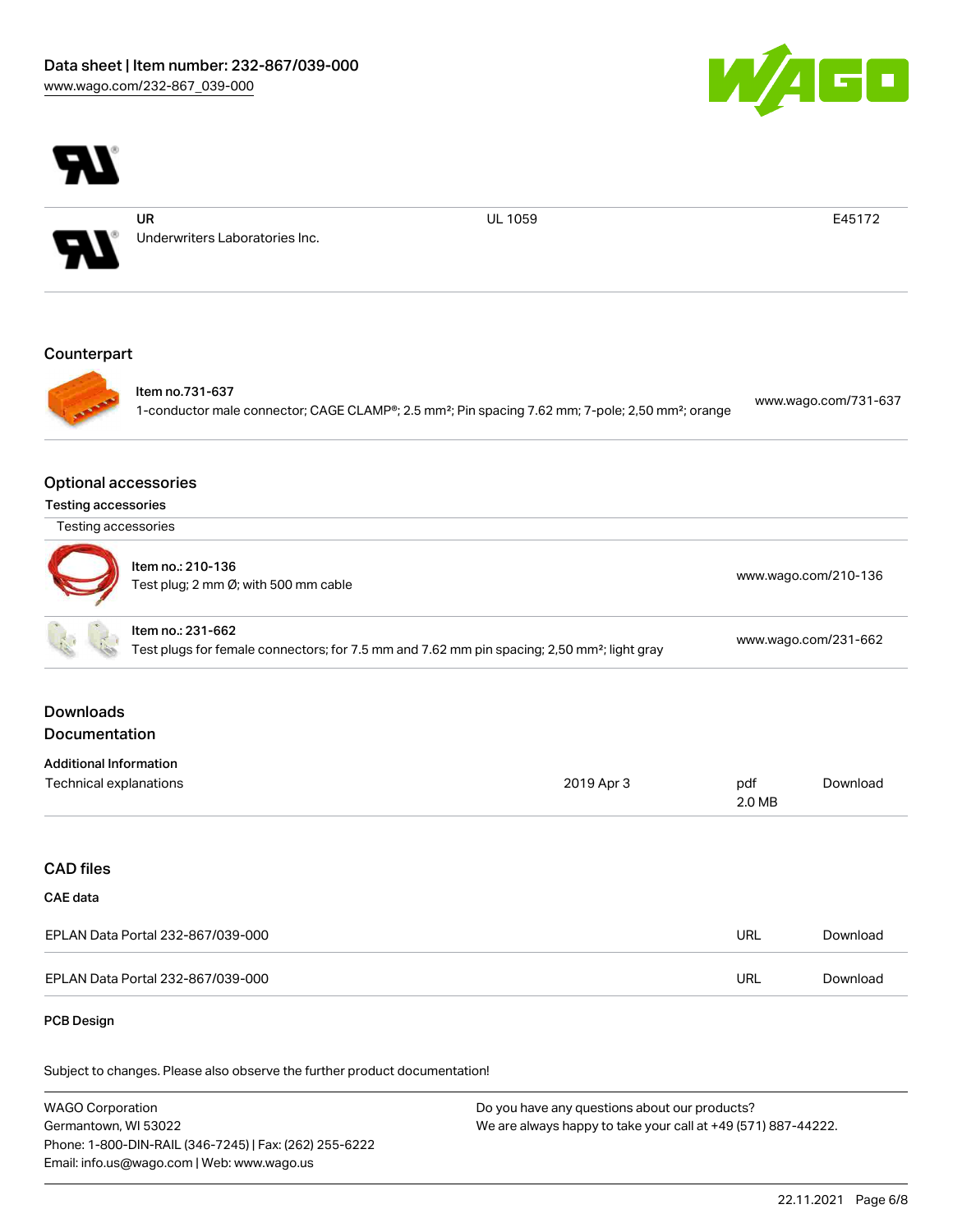



WAGO Corporation Germantown, WI 53022 Phone: 1-800-DIN-RAIL (346-7245) | Fax: (262) 255-6222 Email: info.us@wago.com | Web: www.wago.us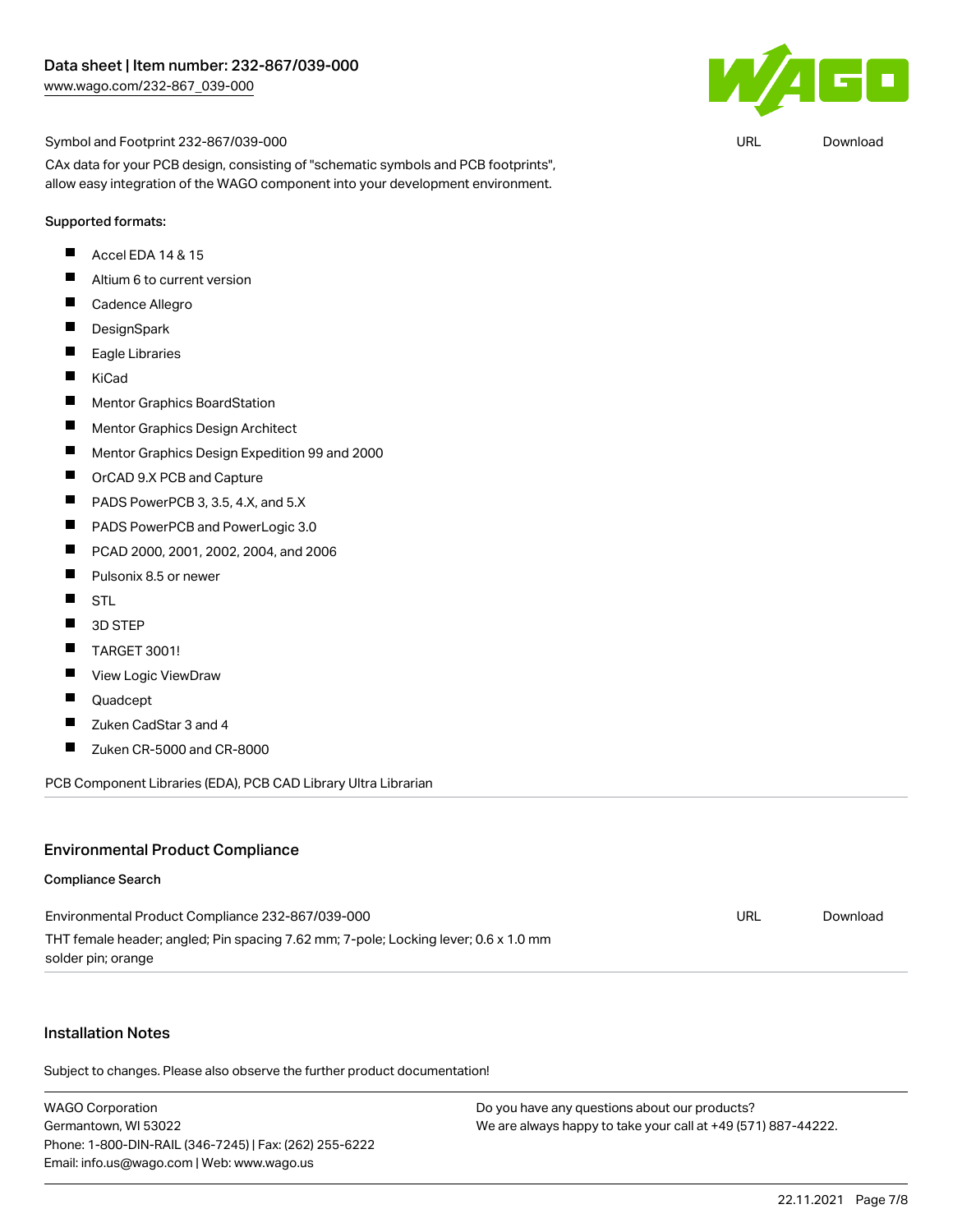

URL [Download](https://www.wago.com/global/d/UltraLibrarian_URLS_232-867_039-000)

Symbol and Footprint 232-867/039-000

CAx data for your PCB design, consisting of "schematic symbols and PCB footprints", allow easy integration of the WAGO component into your development environment.

#### Supported formats:

- П Accel EDA 14 & 15
- $\blacksquare$ Altium 6 to current version
- $\blacksquare$ Cadence Allegro
- $\blacksquare$ **DesignSpark**
- $\blacksquare$ Eagle Libraries
- $\blacksquare$ KiCad
- $\blacksquare$ Mentor Graphics BoardStation
- $\blacksquare$ Mentor Graphics Design Architect
- $\blacksquare$ Mentor Graphics Design Expedition 99 and 2000
- $\blacksquare$ OrCAD 9.X PCB and Capture
- П PADS PowerPCB 3, 3.5, 4.X, and 5.X
- $\blacksquare$ PADS PowerPCB and PowerLogic 3.0
- $\blacksquare$ PCAD 2000, 2001, 2002, 2004, and 2006
- $\blacksquare$ Pulsonix 8.5 or newer
- $\blacksquare$ **STL**
- $\blacksquare$ 3D STEP
- $\blacksquare$ TARGET 3001!
- $\blacksquare$ View Logic ViewDraw
- П Quadcept
- $\blacksquare$ Zuken CadStar 3 and 4
- $\blacksquare$ Zuken CR-5000 and CR-8000

PCB Component Libraries (EDA), PCB CAD Library Ultra Librarian

#### Environmental Product Compliance

#### Compliance Search

| Environmental Product Compliance 232-867/039-000                                    | URL | Download |
|-------------------------------------------------------------------------------------|-----|----------|
| THT female header; angled; Pin spacing 7.62 mm; 7-pole; Locking lever; 0.6 x 1.0 mm |     |          |
| solder pin; orange                                                                  |     |          |

#### Installation Notes

Subject to changes. Please also observe the further product documentation!

WAGO Corporation Germantown, WI 53022 Phone: 1-800-DIN-RAIL (346-7245) | Fax: (262) 255-6222 Email: info.us@wago.com | Web: www.wago.us